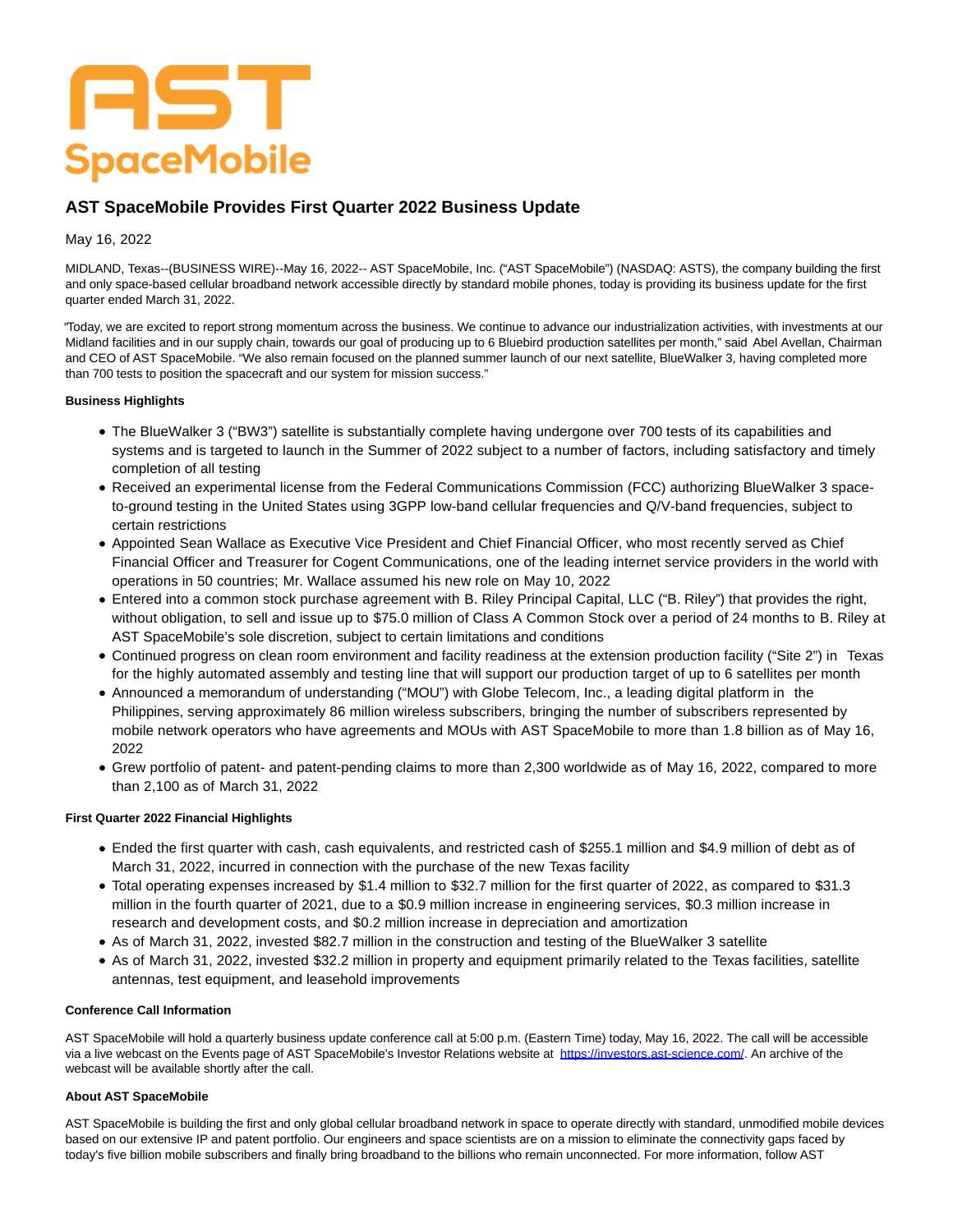# AST **SpaceMobile**

## **AST SpaceMobile Provides First Quarter 2022 Business Update**

## May 16, 2022

MIDLAND, Texas--(BUSINESS WIRE)--May 16, 2022-- AST SpaceMobile, Inc. ("AST SpaceMobile") (NASDAQ: ASTS), the company building the first and only space-based cellular broadband network accessible directly by standard mobile phones, today is providing its business update for the first quarter ended March 31, 2022.

"Today, we are excited to report strong momentum across the business. We continue to advance our industrialization activities, with investments at our Midland facilities and in our supply chain, towards our goal of producing up to 6 Bluebird production satellites per month," said Abel Avellan, Chairman and CEO of AST SpaceMobile. "We also remain focused on the planned summer launch of our next satellite, BlueWalker 3, having completed more than 700 tests to position the spacecraft and our system for mission success."

## **Business Highlights**

- The BlueWalker 3 ("BW3") satellite is substantially complete having undergone over 700 tests of its capabilities and systems and is targeted to launch in the Summer of 2022 subject to a number of factors, including satisfactory and timely completion of all testing
- Received an experimental license from the Federal Communications Commission (FCC) authorizing BlueWalker 3 spaceto-ground testing in the United States using 3GPP low-band cellular frequencies and Q/V-band frequencies, subject to certain restrictions
- Appointed Sean Wallace as Executive Vice President and Chief Financial Officer, who most recently served as Chief Financial Officer and Treasurer for Cogent Communications, one of the leading internet service providers in the world with operations in 50 countries; Mr. Wallace assumed his new role on May 10, 2022
- Entered into a common stock purchase agreement with B. Riley Principal Capital, LLC ("B. Riley") that provides the right, without obligation, to sell and issue up to \$75.0 million of Class A Common Stock over a period of 24 months to B. Riley at AST SpaceMobile's sole discretion, subject to certain limitations and conditions
- Continued progress on clean room environment and facility readiness at the extension production facility ("Site 2") in Texas for the highly automated assembly and testing line that will support our production target of up to 6 satellites per month
- Announced a memorandum of understanding ("MOU") with Globe Telecom, Inc., a leading digital platform in the Philippines, serving approximately 86 million wireless subscribers, bringing the number of subscribers represented by mobile network operators who have agreements and MOUs with AST SpaceMobile to more than 1.8 billion as of May 16, 2022
- Grew portfolio of patent- and patent-pending claims to more than 2,300 worldwide as of May 16, 2022, compared to more than 2,100 as of March 31, 2022

## **First Quarter 2022 Financial Highlights**

- Ended the first quarter with cash, cash equivalents, and restricted cash of \$255.1 million and \$4.9 million of debt as of March 31, 2022, incurred in connection with the purchase of the new Texas facility
- Total operating expenses increased by \$1.4 million to \$32.7 million for the first quarter of 2022, as compared to \$31.3 million in the fourth quarter of 2021, due to a \$0.9 million increase in engineering services, \$0.3 million increase in research and development costs, and \$0.2 million increase in depreciation and amortization
- As of March 31, 2022, invested \$82.7 million in the construction and testing of the BlueWalker 3 satellite
- As of March 31, 2022, invested \$32.2 million in property and equipment primarily related to the Texas facilities, satellite antennas, test equipment, and leasehold improvements

## **Conference Call Information**

AST SpaceMobile will hold a quarterly business update conference call at 5:00 p.m. (Eastern Time) today, May 16, 2022. The call will be accessible via a live webcast on the Events page of AST SpaceMobile's Investor Relations website at [https://investors.ast-science.com/.](https://cts.businesswire.com/ct/CT?id=smartlink&url=https%3A%2F%2Finvestors.ast-science.com%2F&esheet=52721397&newsitemid=20220516005984&lan=en-US&anchor=https%3A%2F%2Finvestors.ast-science.com%2F&index=1&md5=f4eb5c16e2a87cfb5e51c5e7e7a01518) An archive of the webcast will be available shortly after the call.

## **About AST SpaceMobile**

AST SpaceMobile is building the first and only global cellular broadband network in space to operate directly with standard, unmodified mobile devices based on our extensive IP and patent portfolio. Our engineers and space scientists are on a mission to eliminate the connectivity gaps faced by today's five billion mobile subscribers and finally bring broadband to the billions who remain unconnected. For more information, follow AST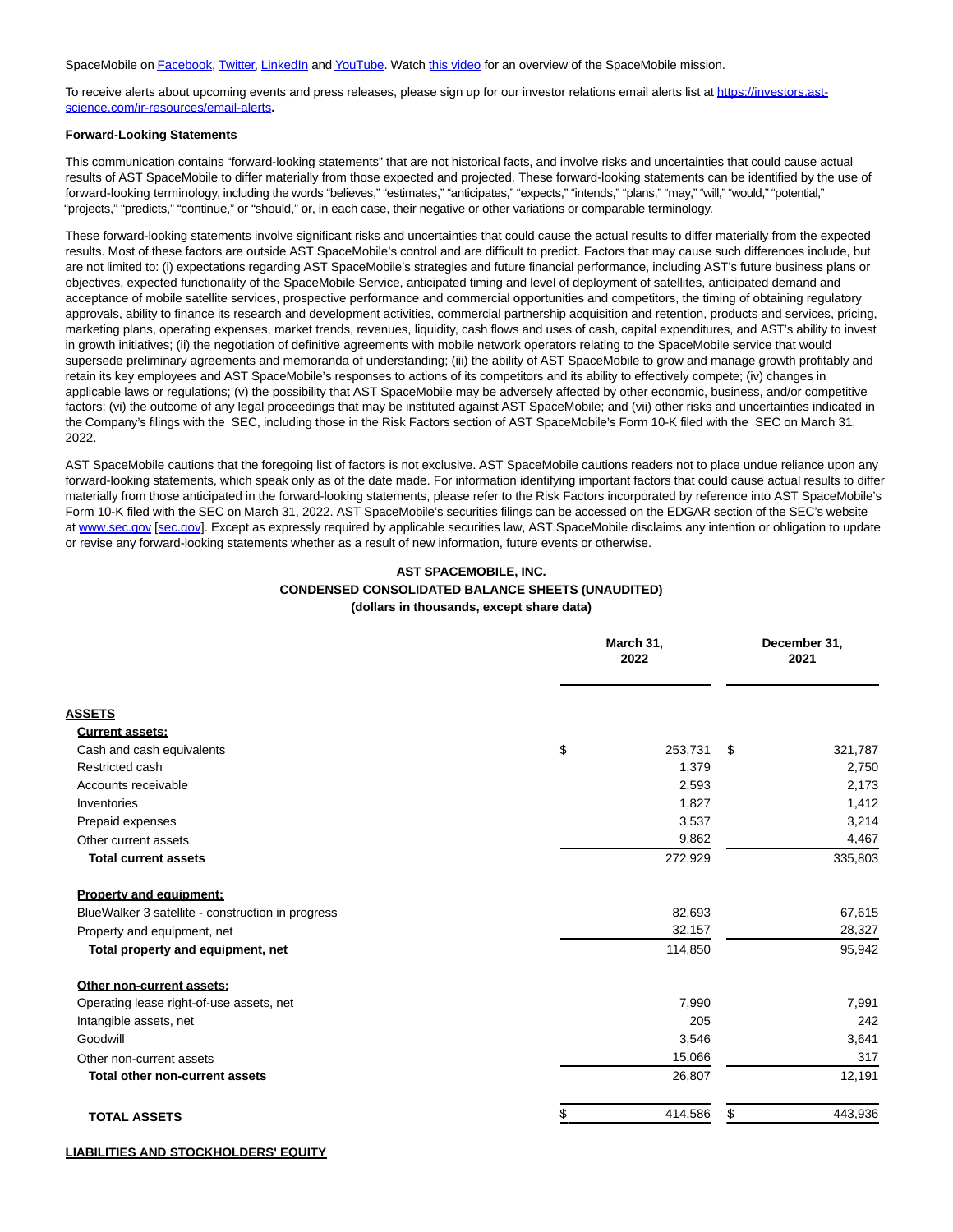SpaceMobile o[n Facebook,](https://cts.businesswire.com/ct/CT?id=smartlink&url=https%3A%2F%2Fnam02.safelinks.protection.outlook.com%2F%3Furl%3Dhttps%253A%252F%252Fwww.facebook.com%252FASTSpaceMobile%252F%26data%3D04%257C01%257Caesse%2540ast-science.com%257Cae91192340344c15c6b408da119d3904%257C72ed33baffa7417ab829d3061aea96ac%257C0%257C0%257C637841664237317036%257CUnknown%257CTWFpbGZsb3d8eyJWIjoiMC4wLjAwMDAiLCJQIjoiV2luMzIiLCJBTiI6Ik1haWwiLCJXVCI6Mn0%253D%257C3000%26sdata%3DHuCYxGGIk3scpHBvZeII5mG%252B3bSA6zpbfsGKNqv0L%252FA%253D%26reserved%3D0&esheet=52721397&newsitemid=20220516005984&lan=en-US&anchor=Facebook&index=2&md5=fb1c9e9e8264c9f2a34018ddb50ae7e8) [Twitter,](https://cts.businesswire.com/ct/CT?id=smartlink&url=https%3A%2F%2Fnam02.safelinks.protection.outlook.com%2F%3Furl%3Dhttps%253A%252F%252Ftwitter.com%252FAST_SpaceMobile%26data%3D04%257C01%257Caesse%2540ast-science.com%257Cae91192340344c15c6b408da119d3904%257C72ed33baffa7417ab829d3061aea96ac%257C0%257C0%257C637841664237317036%257CUnknown%257CTWFpbGZsb3d8eyJWIjoiMC4wLjAwMDAiLCJQIjoiV2luMzIiLCJBTiI6Ik1haWwiLCJXVCI6Mn0%253D%257C3000%26sdata%3D9BZXg39fM%252FbK2QvqMXKHX5ufDfN1ojR1kWQ4bMtXqTA%253D%26reserved%3D0&esheet=52721397&newsitemid=20220516005984&lan=en-US&anchor=Twitter&index=3&md5=b8c1e754e0aa657e99ebfd55845dbd5f) [LinkedIn a](https://cts.businesswire.com/ct/CT?id=smartlink&url=https%3A%2F%2Fnam02.safelinks.protection.outlook.com%2F%3Furl%3Dhttps%253A%252F%252Fwww.linkedin.com%252Fcompany%252Fast-spacemobile%252Fmycompany%252F%26data%3D04%257C01%257Caesse%2540ast-science.com%257Cae91192340344c15c6b408da119d3904%257C72ed33baffa7417ab829d3061aea96ac%257C0%257C0%257C637841664237317036%257CUnknown%257CTWFpbGZsb3d8eyJWIjoiMC4wLjAwMDAiLCJQIjoiV2luMzIiLCJBTiI6Ik1haWwiLCJXVCI6Mn0%253D%257C3000%26sdata%3Dhtm41JqotX3bzmV5RC0c5WBhInsh3l%252FQXuUf4Tn7wew%253D%26reserved%3D0&esheet=52721397&newsitemid=20220516005984&lan=en-US&anchor=LinkedIn&index=4&md5=8f3e37f5ec3ee604e805cc020cf320e7)n[d YouTube.](https://cts.businesswire.com/ct/CT?id=smartlink&url=https%3A%2F%2Fnam02.safelinks.protection.outlook.com%2F%3Furl%3Dhttps%253A%252F%252Fwww.youtube.com%252Fc%252FASTSpaceMobile%26data%3D04%257C01%257Caesse%2540ast-science.com%257Cae91192340344c15c6b408da119d3904%257C72ed33baffa7417ab829d3061aea96ac%257C0%257C0%257C637841664237317036%257CUnknown%257CTWFpbGZsb3d8eyJWIjoiMC4wLjAwMDAiLCJQIjoiV2luMzIiLCJBTiI6Ik1haWwiLCJXVCI6Mn0%253D%257C3000%26sdata%3DqBWFlKvge%252FU0QT4ZwcNJHTERqxp4ITzYqbIlPp0zulg%253D%26reserved%3D0&esheet=52721397&newsitemid=20220516005984&lan=en-US&anchor=YouTube&index=5&md5=5d5ff9b5d93e7638d315b53f35cde31b) Watch [this video f](https://cts.businesswire.com/ct/CT?id=smartlink&url=https%3A%2F%2Fyoutu.be%2FifnIv0Iz_i0&esheet=52721397&newsitemid=20220516005984&lan=en-US&anchor=this+video&index=6&md5=674d42b4b9465ab043bea1f0bc6df6ff)or an overview of the SpaceMobile mission.

To receive alerts about upcoming events and press releases, please sign up for our investor relations email alerts list at [https://investors.ast](https://cts.businesswire.com/ct/CT?id=smartlink&url=https%3A%2F%2Finvestors.ast-science.com%2Fir-resources%2Femail-alerts&esheet=52721397&newsitemid=20220516005984&lan=en-US&anchor=https%3A%2F%2Finvestors.ast-science.com%2Fir-resources%2Femail-alerts&index=7&md5=fb68adaa9518d012685b1e14ef022426)science.com/ir-resources/email-alerts**.**

#### **Forward-Looking Statements**

This communication contains "forward-looking statements" that are not historical facts, and involve risks and uncertainties that could cause actual results of AST SpaceMobile to differ materially from those expected and projected. These forward-looking statements can be identified by the use of forward-looking terminology, including the words "believes," "estimates," "anticipates," "expects," "intends," "plans," "may," "will," "would," "potential," "projects," "predicts," "continue," or "should," or, in each case, their negative or other variations or comparable terminology.

These forward-looking statements involve significant risks and uncertainties that could cause the actual results to differ materially from the expected results. Most of these factors are outside AST SpaceMobile's control and are difficult to predict. Factors that may cause such differences include, but are not limited to: (i) expectations regarding AST SpaceMobile's strategies and future financial performance, including AST's future business plans or objectives, expected functionality of the SpaceMobile Service, anticipated timing and level of deployment of satellites, anticipated demand and acceptance of mobile satellite services, prospective performance and commercial opportunities and competitors, the timing of obtaining regulatory approvals, ability to finance its research and development activities, commercial partnership acquisition and retention, products and services, pricing, marketing plans, operating expenses, market trends, revenues, liquidity, cash flows and uses of cash, capital expenditures, and AST's ability to invest in growth initiatives; (ii) the negotiation of definitive agreements with mobile network operators relating to the SpaceMobile service that would supersede preliminary agreements and memoranda of understanding; (iii) the ability of AST SpaceMobile to grow and manage growth profitably and retain its key employees and AST SpaceMobile's responses to actions of its competitors and its ability to effectively compete; (iv) changes in applicable laws or regulations; (v) the possibility that AST SpaceMobile may be adversely affected by other economic, business, and/or competitive factors; (vi) the outcome of any legal proceedings that may be instituted against AST SpaceMobile; and (vii) other risks and uncertainties indicated in the Company's filings with the SEC, including those in the Risk Factors section of AST SpaceMobile's Form 10-K filed with the SEC on March 31, 2022.

AST SpaceMobile cautions that the foregoing list of factors is not exclusive. AST SpaceMobile cautions readers not to place undue reliance upon any forward-looking statements, which speak only as of the date made. For information identifying important factors that could cause actual results to differ materially from those anticipated in the forward-looking statements, please refer to the Risk Factors incorporated by reference into AST SpaceMobile's Form 10-K filed with the SEC on March 31, 2022. AST SpaceMobile's securities filings can be accessed on the EDGAR section of the SEC's website at [www.sec.gov](https://cts.businesswire.com/ct/CT?id=smartlink&url=http%3A%2F%2Fwww.sec.gov&esheet=52721397&newsitemid=20220516005984&lan=en-US&anchor=www.sec.gov&index=8&md5=2927efc91d0f89a4d89b3deb0bb8be28) [\[sec.gov\].](http://sec.gov/) Except as expressly required by applicable securities law, AST SpaceMobile disclaims any intention or obligation to update or revise any forward-looking statements whether as a result of new information, future events or otherwise.

## **AST SPACEMOBILE, INC. CONDENSED CONSOLIDATED BALANCE SHEETS (UNAUDITED) (dollars in thousands, except share data)**

|                                                   | March 31,<br>2022 |    |         |
|---------------------------------------------------|-------------------|----|---------|
|                                                   |                   |    |         |
| <b>ASSETS</b>                                     |                   |    |         |
| <b>Current assets:</b>                            |                   |    |         |
| Cash and cash equivalents                         | \$<br>253,731     | \$ | 321,787 |
| Restricted cash                                   | 1,379             |    | 2,750   |
| Accounts receivable                               | 2,593             |    | 2,173   |
| Inventories                                       | 1,827             |    | 1,412   |
| Prepaid expenses                                  | 3,537             |    | 3,214   |
| Other current assets                              | 9,862             |    | 4,467   |
| <b>Total current assets</b>                       | 272,929           |    | 335,803 |
| <b>Property and equipment:</b>                    |                   |    |         |
| BlueWalker 3 satellite - construction in progress | 82,693            |    | 67,615  |
| Property and equipment, net                       | 32,157            |    | 28,327  |
| Total property and equipment, net                 | 114,850           |    | 95,942  |
| Other non-current assets:                         |                   |    |         |
| Operating lease right-of-use assets, net          | 7,990             |    | 7,991   |
| Intangible assets, net                            | 205               |    | 242     |
| Goodwill                                          | 3,546             |    | 3,641   |
| Other non-current assets                          | 15,066            |    | 317     |
| Total other non-current assets                    | 26,807            |    | 12,191  |
| <b>TOTAL ASSETS</b>                               | \$<br>414,586     | \$ | 443,936 |

**LIABILITIES AND STOCKHOLDERS' EQUITY**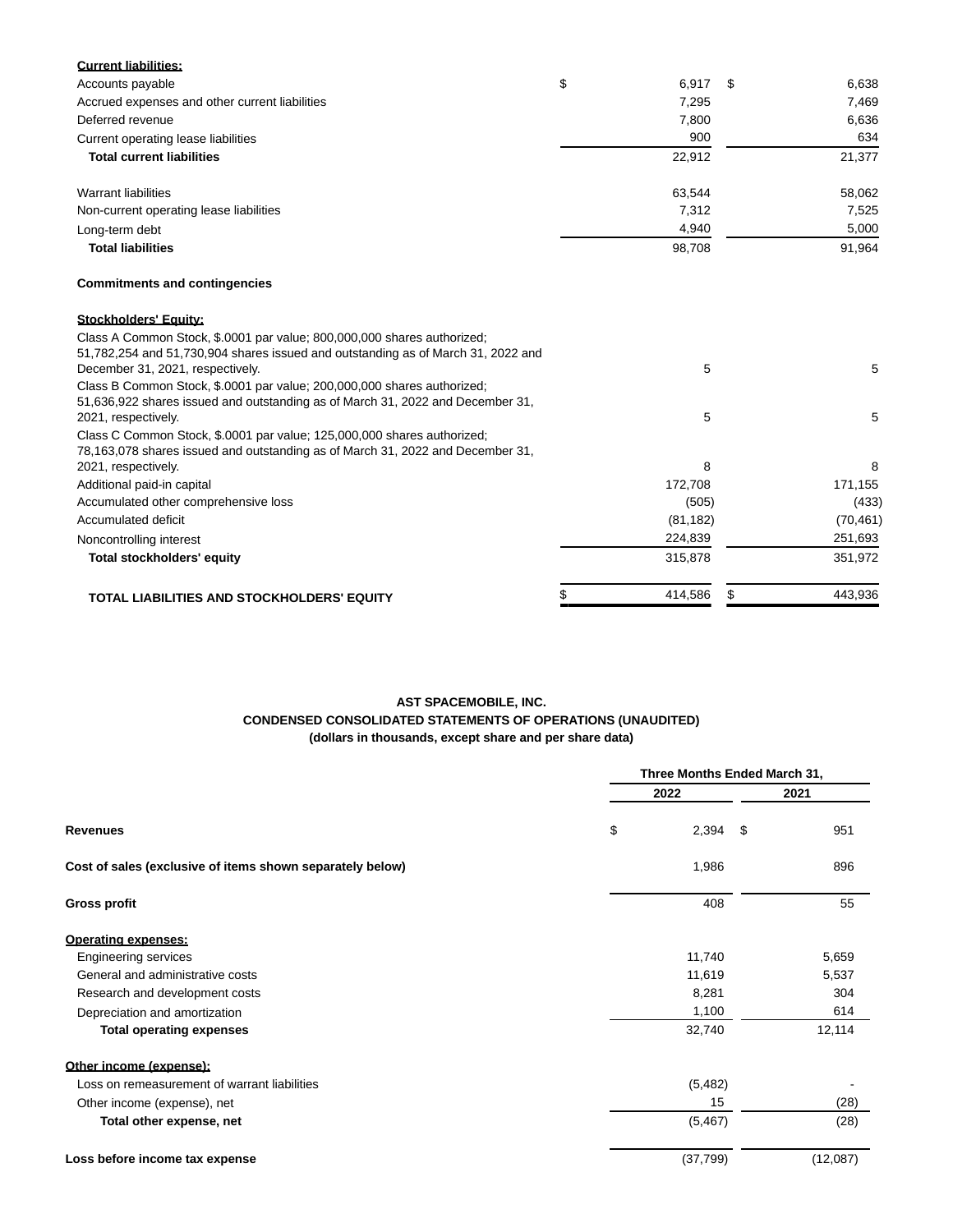| \$<br>Accounts payable<br>6,917<br>S<br>7,295<br>Accrued expenses and other current liabilities<br>Deferred revenue<br>7,800<br>900<br>Current operating lease liabilities<br><b>Total current liabilities</b><br>22,912<br><b>Warrant liabilities</b><br>63,544<br>7,312<br>Non-current operating lease liabilities<br>4,940<br>Long-term debt<br><b>Total liabilities</b><br>98,708<br><b>Commitments and contingencies</b><br><b>Stockholders' Equity:</b><br>Class A Common Stock, \$.0001 par value; 800,000,000 shares authorized;<br>51,782,254 and 51,730,904 shares issued and outstanding as of March 31, 2022 and<br>December 31, 2021, respectively.<br>5<br>5<br>Class B Common Stock, \$.0001 par value; 200,000,000 shares authorized;<br>51,636,922 shares issued and outstanding as of March 31, 2022 and December 31,<br>5<br>2021, respectively.<br>Class C Common Stock, \$.0001 par value; 125,000,000 shares authorized;<br>78,163,078 shares issued and outstanding as of March 31, 2022 and December 31,<br>8<br>2021, respectively.<br>Additional paid-in capital<br>172,708<br>Accumulated other comprehensive loss<br>(505)<br>Accumulated deficit<br>(81, 182)<br>251,693<br>224,839<br>Noncontrolling interest<br><b>Total stockholders' equity</b><br>315,878<br>414,586<br>S<br>\$<br>TOTAL LIABILITIES AND STOCKHOLDERS' EQUITY | <b>Current liabilities:</b> |  |           |
|-----------------------------------------------------------------------------------------------------------------------------------------------------------------------------------------------------------------------------------------------------------------------------------------------------------------------------------------------------------------------------------------------------------------------------------------------------------------------------------------------------------------------------------------------------------------------------------------------------------------------------------------------------------------------------------------------------------------------------------------------------------------------------------------------------------------------------------------------------------------------------------------------------------------------------------------------------------------------------------------------------------------------------------------------------------------------------------------------------------------------------------------------------------------------------------------------------------------------------------------------------------------------------------------------------------------------------------------------------------------|-----------------------------|--|-----------|
|                                                                                                                                                                                                                                                                                                                                                                                                                                                                                                                                                                                                                                                                                                                                                                                                                                                                                                                                                                                                                                                                                                                                                                                                                                                                                                                                                                 |                             |  | 6,638     |
|                                                                                                                                                                                                                                                                                                                                                                                                                                                                                                                                                                                                                                                                                                                                                                                                                                                                                                                                                                                                                                                                                                                                                                                                                                                                                                                                                                 |                             |  | 7,469     |
|                                                                                                                                                                                                                                                                                                                                                                                                                                                                                                                                                                                                                                                                                                                                                                                                                                                                                                                                                                                                                                                                                                                                                                                                                                                                                                                                                                 |                             |  | 6,636     |
|                                                                                                                                                                                                                                                                                                                                                                                                                                                                                                                                                                                                                                                                                                                                                                                                                                                                                                                                                                                                                                                                                                                                                                                                                                                                                                                                                                 |                             |  | 634       |
|                                                                                                                                                                                                                                                                                                                                                                                                                                                                                                                                                                                                                                                                                                                                                                                                                                                                                                                                                                                                                                                                                                                                                                                                                                                                                                                                                                 |                             |  | 21,377    |
|                                                                                                                                                                                                                                                                                                                                                                                                                                                                                                                                                                                                                                                                                                                                                                                                                                                                                                                                                                                                                                                                                                                                                                                                                                                                                                                                                                 |                             |  | 58,062    |
|                                                                                                                                                                                                                                                                                                                                                                                                                                                                                                                                                                                                                                                                                                                                                                                                                                                                                                                                                                                                                                                                                                                                                                                                                                                                                                                                                                 |                             |  | 7,525     |
|                                                                                                                                                                                                                                                                                                                                                                                                                                                                                                                                                                                                                                                                                                                                                                                                                                                                                                                                                                                                                                                                                                                                                                                                                                                                                                                                                                 |                             |  | 5,000     |
|                                                                                                                                                                                                                                                                                                                                                                                                                                                                                                                                                                                                                                                                                                                                                                                                                                                                                                                                                                                                                                                                                                                                                                                                                                                                                                                                                                 |                             |  | 91,964    |
|                                                                                                                                                                                                                                                                                                                                                                                                                                                                                                                                                                                                                                                                                                                                                                                                                                                                                                                                                                                                                                                                                                                                                                                                                                                                                                                                                                 |                             |  |           |
|                                                                                                                                                                                                                                                                                                                                                                                                                                                                                                                                                                                                                                                                                                                                                                                                                                                                                                                                                                                                                                                                                                                                                                                                                                                                                                                                                                 |                             |  |           |
|                                                                                                                                                                                                                                                                                                                                                                                                                                                                                                                                                                                                                                                                                                                                                                                                                                                                                                                                                                                                                                                                                                                                                                                                                                                                                                                                                                 |                             |  |           |
|                                                                                                                                                                                                                                                                                                                                                                                                                                                                                                                                                                                                                                                                                                                                                                                                                                                                                                                                                                                                                                                                                                                                                                                                                                                                                                                                                                 |                             |  |           |
|                                                                                                                                                                                                                                                                                                                                                                                                                                                                                                                                                                                                                                                                                                                                                                                                                                                                                                                                                                                                                                                                                                                                                                                                                                                                                                                                                                 |                             |  |           |
|                                                                                                                                                                                                                                                                                                                                                                                                                                                                                                                                                                                                                                                                                                                                                                                                                                                                                                                                                                                                                                                                                                                                                                                                                                                                                                                                                                 |                             |  |           |
|                                                                                                                                                                                                                                                                                                                                                                                                                                                                                                                                                                                                                                                                                                                                                                                                                                                                                                                                                                                                                                                                                                                                                                                                                                                                                                                                                                 |                             |  | 5         |
|                                                                                                                                                                                                                                                                                                                                                                                                                                                                                                                                                                                                                                                                                                                                                                                                                                                                                                                                                                                                                                                                                                                                                                                                                                                                                                                                                                 |                             |  |           |
|                                                                                                                                                                                                                                                                                                                                                                                                                                                                                                                                                                                                                                                                                                                                                                                                                                                                                                                                                                                                                                                                                                                                                                                                                                                                                                                                                                 |                             |  |           |
|                                                                                                                                                                                                                                                                                                                                                                                                                                                                                                                                                                                                                                                                                                                                                                                                                                                                                                                                                                                                                                                                                                                                                                                                                                                                                                                                                                 |                             |  | 8         |
|                                                                                                                                                                                                                                                                                                                                                                                                                                                                                                                                                                                                                                                                                                                                                                                                                                                                                                                                                                                                                                                                                                                                                                                                                                                                                                                                                                 |                             |  | 171,155   |
|                                                                                                                                                                                                                                                                                                                                                                                                                                                                                                                                                                                                                                                                                                                                                                                                                                                                                                                                                                                                                                                                                                                                                                                                                                                                                                                                                                 |                             |  | (433)     |
|                                                                                                                                                                                                                                                                                                                                                                                                                                                                                                                                                                                                                                                                                                                                                                                                                                                                                                                                                                                                                                                                                                                                                                                                                                                                                                                                                                 |                             |  | (70, 461) |
|                                                                                                                                                                                                                                                                                                                                                                                                                                                                                                                                                                                                                                                                                                                                                                                                                                                                                                                                                                                                                                                                                                                                                                                                                                                                                                                                                                 |                             |  |           |
|                                                                                                                                                                                                                                                                                                                                                                                                                                                                                                                                                                                                                                                                                                                                                                                                                                                                                                                                                                                                                                                                                                                                                                                                                                                                                                                                                                 |                             |  | 351,972   |
|                                                                                                                                                                                                                                                                                                                                                                                                                                                                                                                                                                                                                                                                                                                                                                                                                                                                                                                                                                                                                                                                                                                                                                                                                                                                                                                                                                 |                             |  | 443,936   |

## **AST SPACEMOBILE, INC. CONDENSED CONSOLIDATED STATEMENTS OF OPERATIONS (UNAUDITED) (dollars in thousands, except share and per share data)**

|                                                           | Three Months Ended March 31, |           |      |          |
|-----------------------------------------------------------|------------------------------|-----------|------|----------|
|                                                           |                              | 2022      |      | 2021     |
| <b>Revenues</b>                                           | \$                           | 2,394     | - \$ | 951      |
| Cost of sales (exclusive of items shown separately below) |                              | 1,986     |      | 896      |
| <b>Gross profit</b>                                       |                              | 408       |      | 55       |
| Operating expenses:                                       |                              |           |      |          |
| Engineering services                                      |                              | 11,740    |      | 5,659    |
| General and administrative costs                          |                              | 11,619    |      | 5,537    |
| Research and development costs                            |                              | 8,281     |      | 304      |
| Depreciation and amortization                             |                              | 1,100     |      | 614      |
| <b>Total operating expenses</b>                           |                              | 32,740    |      | 12,114   |
| Other income (expense):                                   |                              |           |      |          |
| Loss on remeasurement of warrant liabilities              |                              | (5, 482)  |      |          |
| Other income (expense), net                               |                              | 15        |      | (28)     |
| Total other expense, net                                  |                              | (5, 467)  |      | (28)     |
| Loss before income tax expense                            |                              | (37, 799) |      | (12,087) |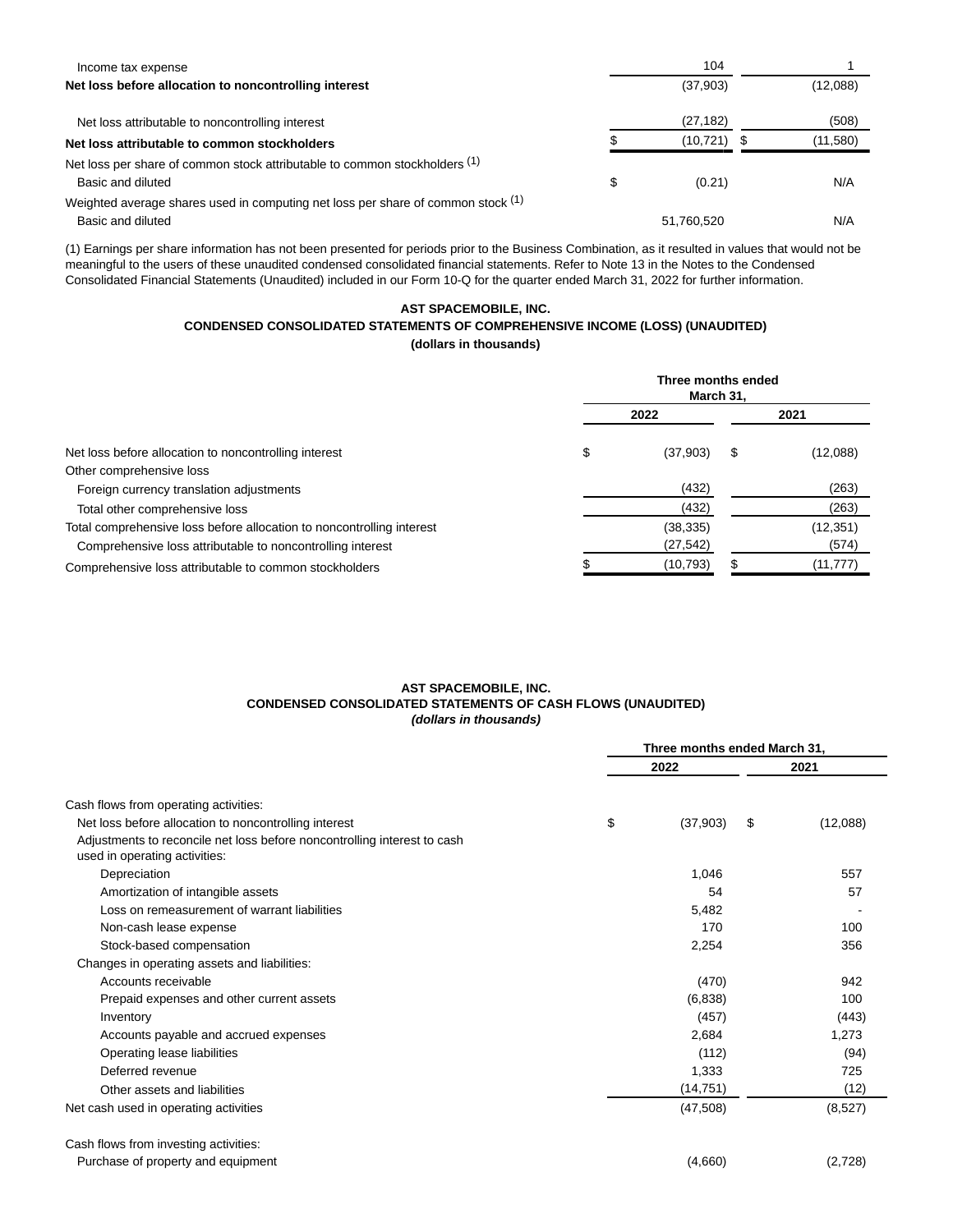| Income tax expense                                                                                    | 104          |          |
|-------------------------------------------------------------------------------------------------------|--------------|----------|
| Net loss before allocation to noncontrolling interest                                                 | (37,903)     | (12,088) |
| Net loss attributable to noncontrolling interest                                                      | (27, 182)    | (508)    |
| Net loss attributable to common stockholders                                                          | (10, 721)    | (11,580) |
| Net loss per share of common stock attributable to common stockholders (1)                            |              |          |
| Basic and diluted                                                                                     | \$<br>(0.21) | N/A      |
| Weighted average shares used in computing net loss per share of common stock (1)<br>Basic and diluted | 51,760,520   | N/A      |
|                                                                                                       |              |          |

(1) Earnings per share information has not been presented for periods prior to the Business Combination, as it resulted in values that would not be meaningful to the users of these unaudited condensed consolidated financial statements. Refer to Note 13 in the Notes to the Condensed Consolidated Financial Statements (Unaudited) included in our Form 10-Q for the quarter ended March 31, 2022 for further information.

#### **AST SPACEMOBILE, INC.**

## **CONDENSED CONSOLIDATED STATEMENTS OF COMPREHENSIVE INCOME (LOSS) (UNAUDITED) (dollars in thousands)**

|                                                                       | Three months ended<br>March 31, |    |           |  |
|-----------------------------------------------------------------------|---------------------------------|----|-----------|--|
| Net loss before allocation to noncontrolling interest                 | 2022                            |    | 2021      |  |
|                                                                       | \$<br>(37,903)                  | \$ | (12,088)  |  |
| Other comprehensive loss                                              |                                 |    |           |  |
| Foreign currency translation adjustments                              | (432)                           |    | (263)     |  |
| Total other comprehensive loss                                        | (432)                           |    | (263)     |  |
| Total comprehensive loss before allocation to noncontrolling interest | (38,335)                        |    | (12, 351) |  |
| Comprehensive loss attributable to noncontrolling interest            | (27,542)                        |    | (574)     |  |
| Comprehensive loss attributable to common stockholders                | (10, 793)                       |    | (11, 777) |  |

### **AST SPACEMOBILE, INC. CONDENSED CONSOLIDATED STATEMENTS OF CASH FLOWS (UNAUDITED) (dollars in thousands)**

|                                                                                                           | Three months ended March 31, |           |    |          |
|-----------------------------------------------------------------------------------------------------------|------------------------------|-----------|----|----------|
|                                                                                                           |                              | 2022      |    | 2021     |
| Cash flows from operating activities:                                                                     |                              |           |    |          |
| Net loss before allocation to noncontrolling interest                                                     | \$                           | (37,903)  | \$ | (12,088) |
| Adjustments to reconcile net loss before noncontrolling interest to cash<br>used in operating activities: |                              |           |    |          |
| Depreciation                                                                                              |                              | 1,046     |    | 557      |
| Amortization of intangible assets                                                                         |                              | 54        |    | 57       |
| Loss on remeasurement of warrant liabilities                                                              |                              | 5,482     |    |          |
| Non-cash lease expense                                                                                    |                              | 170       |    | 100      |
| Stock-based compensation                                                                                  |                              | 2,254     |    | 356      |
| Changes in operating assets and liabilities:                                                              |                              |           |    |          |
| Accounts receivable                                                                                       |                              | (470)     |    | 942      |
| Prepaid expenses and other current assets                                                                 |                              | (6,838)   |    | 100      |
| Inventory                                                                                                 |                              | (457)     |    | (443)    |
| Accounts payable and accrued expenses                                                                     |                              | 2,684     |    | 1,273    |
| Operating lease liabilities                                                                               |                              | (112)     |    | (94)     |
| Deferred revenue                                                                                          |                              | 1,333     |    | 725      |
| Other assets and liabilities                                                                              |                              | (14, 751) |    | (12)     |
| Net cash used in operating activities                                                                     |                              | (47, 508) |    | (8,527)  |
| Cash flows from investing activities:                                                                     |                              |           |    |          |

Purchase of property and equipment (4,660) (2,728)